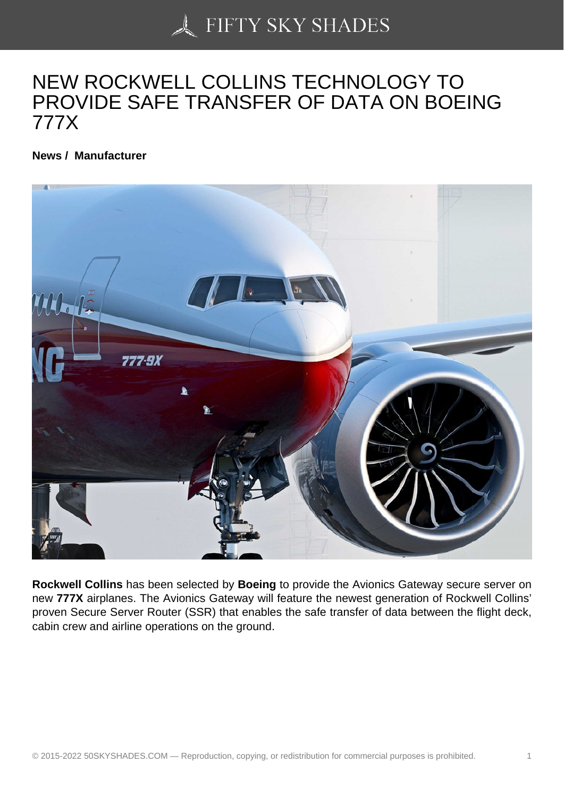## [NEW ROCKWELL CO](https://50skyshades.com)LLINS TECHNOLOGY TO PROVIDE SAFE TRANSFER OF DATA ON BOEING 777X

News / Manufacturer

Rockwell Collins has been selected by Boeing to provide the Avionics Gateway secure server on new 777X airplanes. The Avionics Gateway will feature the newest generation of Rockwell Collins' proven Secure Server Router (SSR) that enables the safe transfer of data between the flight deck, cabin crew and airline operations on the ground.